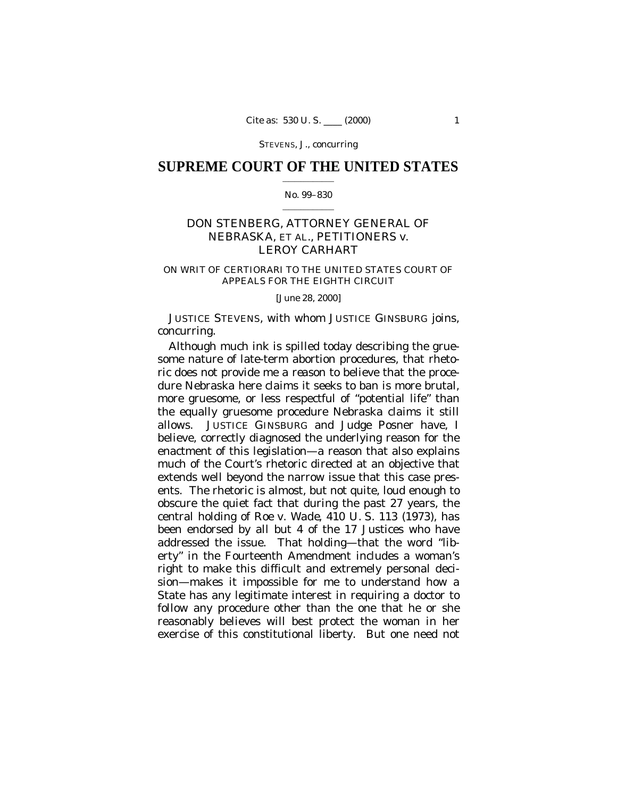STEVENS, J., concurring

## **SUPREME COURT OF THE UNITED STATES**  $\mathcal{L}=\mathcal{L}^{\mathcal{L}}$  , where  $\mathcal{L}^{\mathcal{L}}$

#### No. 99–830  $\mathcal{L}=\mathcal{L}^{\mathcal{L}}$  , where  $\mathcal{L}^{\mathcal{L}}$

# DON STENBERG, ATTORNEY GENERAL OF NEBRASKA, ET AL., PETITIONERS *v.* LEROY CARHART

### ON WRIT OF CERTIORARI TO THE UNITED STATES COURT OF APPEALS FOR THE EIGHTH CIRCUIT

[June 28, 2000]

JUSTICE STEVENS, with whom JUSTICE GINSBURG joins, concurring.

Although much ink is spilled today describing the gruesome nature of late-term abortion procedures, that rhetoric does not provide me a *reason* to believe that the procedure Nebraska here claims it seeks to ban is more brutal, more gruesome, or less respectful of "potential life" than the equally gruesome procedure Nebraska claims it still allows. JUSTICE GINSBURG and Judge Posner have, I believe, correctly diagnosed the underlying reason for the enactment of this legislation— a reason that also explains much of the Court's rhetoric directed at an objective that extends well beyond the narrow issue that this case presents. The rhetoric is almost, but not quite, loud enough to obscure the quiet fact that during the past 27 years, the central holding of *Roe* v. *Wade,* 410 U. S. 113 (1973), has been endorsed by all but 4 of the 17 Justices who have addressed the issue. That holding— that the word "liberty" in the Fourteenth Amendment includes a woman's right to make this difficult and extremely personal decision— makes it impossible for me to understand how a State has any legitimate interest in requiring a doctor to follow any procedure other than the one that he or she reasonably believes will best protect the woman in her exercise of this constitutional liberty. But one need not